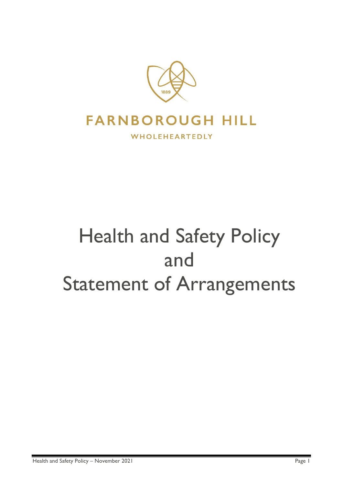

# Health and Safety Policy and Statement of Arrangements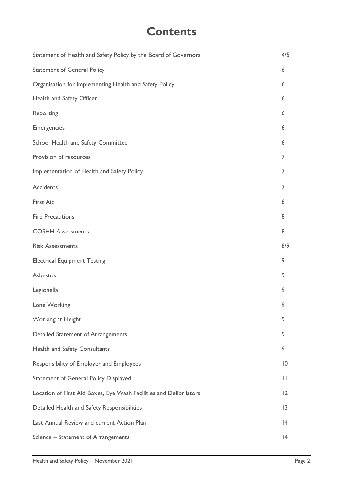### **Contents**

| Statement of Health and Safety Policy by the Board of Governors    | 4/5            |
|--------------------------------------------------------------------|----------------|
| <b>Statement of General Policy</b>                                 | 6              |
| Organisation for implementing Health and Safety Policy             | 6              |
| Health and Safety Officer                                          | 6              |
| Reporting                                                          | 6              |
| <b>Emergencies</b>                                                 | 6              |
| School Health and Safety Committee                                 | 6              |
| Provision of resources                                             | 7              |
| Implementation of Health and Safety Policy                         | 7              |
| <b>Accidents</b>                                                   | 7              |
| First Aid                                                          | 8              |
| <b>Fire Precautions</b>                                            | 8              |
| <b>COSHH Assessments</b>                                           | 8              |
| <b>Risk Assessments</b>                                            | 8/9            |
| <b>Electrical Equipment Testing</b>                                | 9              |
| Asbestos                                                           | 9              |
| Legionella                                                         | 9              |
| Lone Working                                                       | 9              |
| Working at Height                                                  | 9              |
| Detailed Statement of Arrangements                                 | 9              |
| <b>Health and Safety Consultants</b>                               | 9              |
| Responsibility of Employer and Employees                           | $\overline{0}$ |
| <b>Statement of General Policy Displayed</b>                       | П              |
| Location of First Aid Boxes, Eye Wash Facilities and Defibrilators | 12             |
| Detailed Health and Safety Responsibilities                        | 3              |
| Last Annual Review and current Action Plan                         | 4              |
| Science - Statement of Arrangements                                | 4              |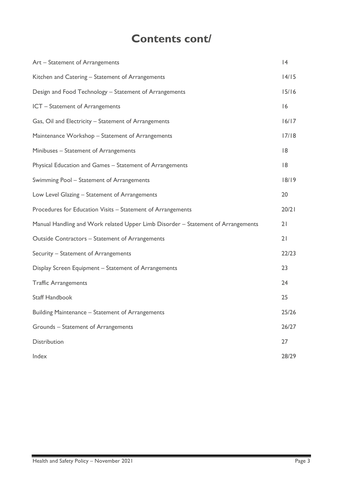### **Contents cont/**

| Art - Statement of Arrangements                                                  | 4     |
|----------------------------------------------------------------------------------|-------|
| Kitchen and Catering - Statement of Arrangements                                 | 14/15 |
| Design and Food Technology - Statement of Arrangements                           | 15/16 |
| ICT - Statement of Arrangements                                                  | 16    |
| Gas, Oil and Electricity - Statement of Arrangements                             | 16/17 |
| Maintenance Workshop - Statement of Arrangements                                 | 17/18 |
| Minibuses - Statement of Arrangements                                            | 18    |
| Physical Education and Games - Statement of Arrangements                         | 18    |
| Swimming Pool - Statement of Arrangements                                        | 18/19 |
| Low Level Glazing - Statement of Arrangements                                    | 20    |
| Procedures for Education Visits - Statement of Arrangements                      | 20/21 |
| Manual Handling and Work related Upper Limb Disorder - Statement of Arrangements | 21    |
| Outside Contractors - Statement of Arrangements                                  | 21    |
| Security - Statement of Arrangements                                             | 22/23 |
| Display Screen Equipment - Statement of Arrangements                             | 23    |
| <b>Traffic Arrangements</b>                                                      | 24    |
| <b>Staff Handbook</b>                                                            | 25    |
| Building Maintenance - Statement of Arrangements                                 | 25/26 |
| Grounds - Statement of Arrangements                                              | 26/27 |
| Distribution                                                                     | 27    |
| Index                                                                            | 28/29 |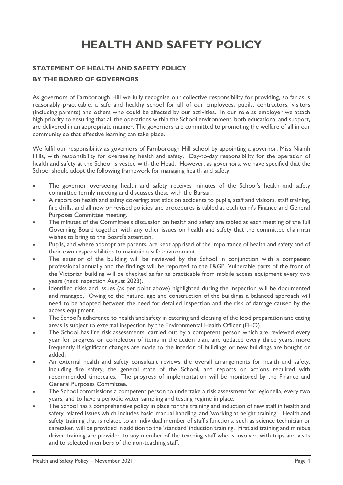## **HEALTH AND SAFETY POLICY**

#### **STATEMENT OF HEALTH AND SAFETY POLICY**

#### **BY THE BOARD OF GOVERNORS**

As governors of Farnborough Hill we fully recognise our collective responsibility for providing, so far as is reasonably practicable, a safe and healthy school for all of our employees, pupils, contractors, visitors (including parents) and others who could be affected by our activities. In our role as employer we attach high priority to ensuring that all the operations within the School environment, both educational and support, are delivered in an appropriate manner. The governors are committed to promoting the welfare of all in our community so that effective learning can take place.

We fulfil our responsibility as governors of Farnborough Hill school by appointing a governor, Miss Niamh Hills, with responsibility for overseeing health and safety. Day-to-day responsibility for the operation of health and safety at the School is vested with the Head. However, as governors, we have specified that the School should adopt the following framework for managing health and safety:

- The governor overseeing health and safety receives minutes of the School's health and safety committee termly meeting and discusses these with the Bursar.
- A report on health and safety covering: statistics on accidents to pupils, staff and visitors, staff training, fire drills, and all new or revised policies and procedures is tabled at each term's Finance and General Purposes Committee meeting.
- The minutes of the Committee's discussion on health and safety are tabled at each meeting of the full Governing Board together with any other issues on health and safety that the committee chairman wishes to bring to the Board's attention.
- Pupils, and where appropriate parents, are kept apprised of the importance of health and safety and of their own responsibilities to maintain a safe environment.
- The exterior of the building will be reviewed by the School in conjunction with a competent professional annually and the findings will be reported to the F&GP. Vulnerable parts of the front of the Victorian building will be checked as far as practicable from mobile access equipment every two years (next inspection August 2023).
- Identified risks and issues (as per point above) highlighted during the inspection will be documented and managed. Owing to the nature, age and construction of the buildings a balanced approach will need to be adopted between the need for detailed inspection and the risk of damage caused by the access equipment.
- The School's adherence to health and safety in catering and cleaning of the food preparation and eating areas is subject to external inspection by the Environmental Health Officer (EHO).
- The School has fire risk assessments, carried out by a competent person which are reviewed every year for progress on completion of items in the action plan, and updated every three years, more frequently if significant changes are made to the interior of buildings or new buildings are bought or added.
- An external health and safety consultant reviews the overall arrangements for health and safety, including fire safety, the general state of the School, and reports on actions required with recommended timescales. The progress of implementation will be monitored by the Finance and General Purposes Committee.
- The School commissions a competent person to undertake a risk assessment for legionella, every two years, and to have a periodic water sampling and testing regime in place.
- The School has a comprehensive policy in place for the training and induction of new staff in health and safety related issues which includes basic 'manual handling' and 'working at height training'. Health and safety training that is related to an individual member of staff's functions, such as science technician or caretaker, will be provided in addition to the 'standard' induction training. First aid training and minibus driver training are provided to any member of the teaching staff who is involved with trips and visits and to selected members of the non-teaching staff.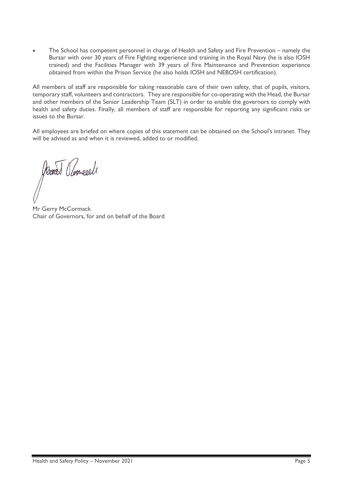• The School has competent personnel in charge of Health and Safety and Fire Prevention – namely the Bursar with over 30 years of Fire Fighting experience and training in the Royal Navy (he is also IOSH trained) and the Facilities Manager with 39 years of Fire Maintenance and Prevention experience obtained from within the Prison Service (he also holds IOSH and NEBOSH certification).

All members of staff are responsible for taking reasonable care of their own safety, that of pupils, visitors, temporary staff, volunteers and contractors. They are responsible for co-operating with the Head, the Bursar and other members of the Senior Leadership Team (SLT) in order to enable the governors to comply with health and safety duties. Finally, all members of staff are responsible for reporting any significant risks or issues to the Bursar.

All employees are briefed on where copies of this statement can be obtained on the School's intranet. They will be advised as and when it is reviewed, added to or modified.

Model Clomeeel

Mr Gerry McCormack Chair of Governors, for and on behalf of the Board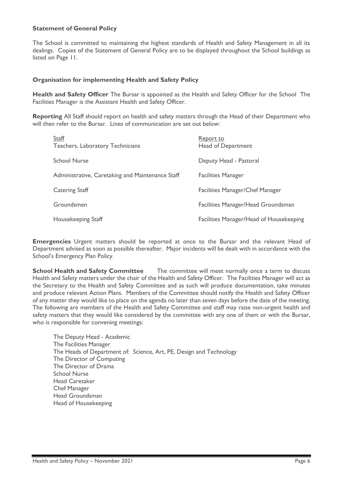#### **Statement of General Policy**

The School is committed to maintaining the highest standards of Health and Safety Management in all its dealings. Copies of the Statement of General Policy are to be displayed throughout the School buildings as listed on Page 11.

#### **Organisation for implementing Health and Safety Policy**

**Health and Safety Officer** The Bursar is appointed as the Health and Safety Officer for the School The Facilities Manager is the Assistant Health and Safety Officer.

**Reporting** All Staff should report on health and safety matters through the Head of their Department who will then refer to the Bursar. Lines of communication are set out below:

| Staff<br>Teachers, Laboratory Technicians        | Report to<br>Head of Department         |
|--------------------------------------------------|-----------------------------------------|
| <b>School Nurse</b>                              | Deputy Head - Pastoral                  |
| Administrative, Caretaking and Maintenance Staff | <b>Facilities Manager</b>               |
| <b>Catering Staff</b>                            | <b>Facilities Manager/Chef Manager</b>  |
| Groundsmen                                       | Facilities Manager/Head Groundsman      |
| Housekeeping Staff                               | Facilities Manager/Head of Housekeeping |

**Emergencies** Urgent matters should be reported at once to the Bursar and the relevant Head of Department advised as soon as possible thereafter. Major incidents will be dealt with in accordance with the School's Emergency Plan Policy.

**School Health and Safety Committee** The committee will meet normally once a term to discuss Health and Safety matters under the chair of the Health and Safety Officer. The Facilities Manager will act as the Secretary to the Health and Safety Committee and as such will produce documentation, take minutes and produce relevant Action Plans. Members of the Committee should notify the Health and Safety Officer of any matter they would like to place on the agenda no later than seven days before the date of the meeting. The following are members of the Health and Safety Committee and staff may raise non-urgent health and safety matters that they would like considered by the committee with any one of them or with the Bursar, who is responsible for convening meetings:

The Deputy Head - Academic The Facilities Manager The Heads of Department of: Science, Art, PE, Design and Technology The Director of Computing The Director of Drama School Nurse Head Caretaker Chef Manager Head Groundsman Head of Housekeeping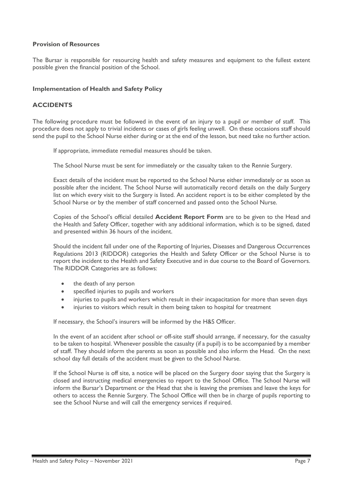#### **Provision of Resources**

The Bursar is responsible for resourcing health and safety measures and equipment to the fullest extent possible given the financial position of the School.

#### **Implementation of Health and Safety Policy**

#### **ACCIDENTS**

The following procedure must be followed in the event of an injury to a pupil or member of staff. This procedure does not apply to trivial incidents or cases of girls feeling unwell. On these occasions staff should send the pupil to the School Nurse either during or at the end of the lesson, but need take no further action.

If appropriate, immediate remedial measures should be taken.

The School Nurse must be sent for immediately or the casualty taken to the Rennie Surgery.

Exact details of the incident must be reported to the School Nurse either immediately or as soon as possible after the incident. The School Nurse will automatically record details on the daily Surgery list on which every visit to the Surgery is listed. An accident report is to be either completed by the School Nurse or by the member of staff concerned and passed onto the School Nurse.

Copies of the School's official detailed **Accident Report Form** are to be given to the Head and the Health and Safety Officer, together with any additional information, which is to be signed, dated and presented within 36 hours of the incident.

Should the incident fall under one of the Reporting of Injuries, Diseases and Dangerous Occurrences Regulations 2013 (RIDDOR) categories the Health and Safety Officer or the School Nurse is to report the incident to the Health and Safety Executive and in due course to the Board of Governors. The RIDDOR Categories are as follows:

- the death of any person
- specified injuries to pupils and workers
- injuries to pupils and workers which result in their incapacitation for more than seven days
- injuries to visitors which result in them being taken to hospital for treatment

If necessary, the School's insurers will be informed by the H&S Officer.

In the event of an accident after school or off-site staff should arrange, if necessary, for the casualty to be taken to hospital. Whenever possible the casualty (if a pupil) is to be accompanied by a member of staff. They should inform the parents as soon as possible and also inform the Head. On the next school day full details of the accident must be given to the School Nurse.

If the School Nurse is off site, a notice will be placed on the Surgery door saying that the Surgery is closed and instructing medical emergencies to report to the School Office. The School Nurse will inform the Bursar's Department or the Head that she is leaving the premises and leave the keys for others to access the Rennie Surgery. The School Office will then be in charge of pupils reporting to see the School Nurse and will call the emergency services if required.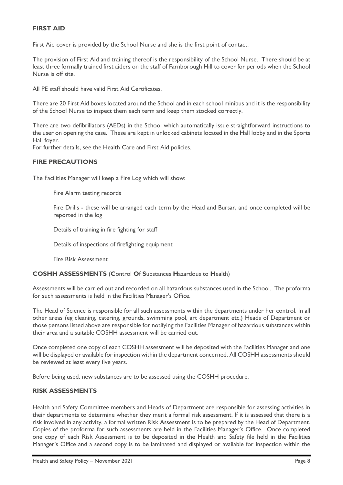#### **FIRST AID**

First Aid cover is provided by the School Nurse and she is the first point of contact.

The provision of First Aid and training thereof is the responsibility of the School Nurse. There should be at least three formally trained first aiders on the staff of Farnborough Hill to cover for periods when the School Nurse is off site.

All PE staff should have valid First Aid Certificates.

There are 20 First Aid boxes located around the School and in each school minibus and it is the responsibility of the School Nurse to inspect them each term and keep them stocked correctly.

There are two defibrillators (AEDs) in the School which automatically issue straightforward instructions to the user on opening the case. These are kept in unlocked cabinets located in the Hall lobby and in the Sports Hall foyer.

For further details, see the Health Care and First Aid policies.

#### **FIRE PRECAUTIONS**

The Facilities Manager will keep a Fire Log which will show:

Fire Alarm testing records

Fire Drills - these will be arranged each term by the Head and Bursar, and once completed will be reported in the log

Details of training in fire fighting for staff

Details of inspections of firefighting equipment

Fire Risk Assessment

#### **COSHH ASSESSMENTS** (**C**ontrol **O**f **S**ubstances **H**azardous to **H**ealth)

Assessments will be carried out and recorded on all hazardous substances used in the School. The proforma for such assessments is held in the Facilities Manager's Office.

The Head of Science is responsible for all such assessments within the departments under her control. In all other areas (eg cleaning, catering, grounds, swimming pool, art department etc.) Heads of Department or those persons listed above are responsible for notifying the Facilities Manager of hazardous substances within their area and a suitable COSHH assessment will be carried out.

Once completed one copy of each COSHH assessment will be deposited with the Facilities Manager and one will be displayed or available for inspection within the department concerned. All COSHH assessments should be reviewed at least every five years.

Before being used, new substances are to be assessed using the COSHH procedure.

#### **RISK ASSESSMENTS**

Health and Safety Committee members and Heads of Department are responsible for assessing activities in their departments to determine whether they merit a formal risk assessment. If it is assessed that there is a risk involved in any activity, a formal written Risk Assessment is to be prepared by the Head of Department. Copies of the proforma for such assessments are held in the Facilities Manager's Office. Once completed one copy of each Risk Assessment is to be deposited in the Health and Safety file held in the Facilities Manager's Office and a second copy is to be laminated and displayed or available for inspection within the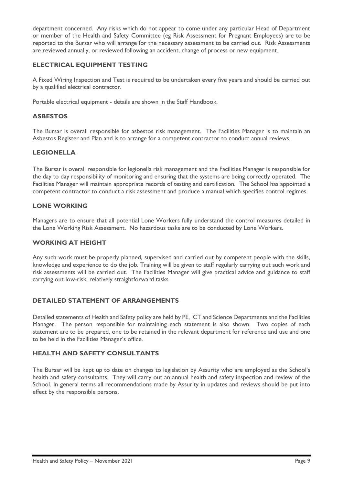department concerned. Any risks which do not appear to come under any particular Head of Department or member of the Health and Safety Committee (eg Risk Assessment for Pregnant Employees) are to be reported to the Bursar who will arrange for the necessary assessment to be carried out. Risk Assessments are reviewed annually, or reviewed following an accident, change of process or new equipment.

#### **ELECTRICAL EQUIPMENT TESTING**

A Fixed Wiring Inspection and Test is required to be undertaken every five years and should be carried out by a qualified electrical contractor.

Portable electrical equipment - details are shown in the Staff Handbook.

#### **ASBESTOS**

The Bursar is overall responsible for asbestos risk management. The Facilities Manager is to maintain an Asbestos Register and Plan and is to arrange for a competent contractor to conduct annual reviews.

#### **LEGIONELLA**

The Bursar is overall responsible for legionella risk management and the Facilities Manager is responsible for the day to day responsibility of monitoring and ensuring that the systems are being correctly operated. The Facilities Manager will maintain appropriate records of testing and certification. The School has appointed a competent contractor to conduct a risk assessment and produce a manual which specifies control regimes.

#### **LONE WORKING**

Managers are to ensure that all potential Lone Workers fully understand the control measures detailed in the Lone Working Risk Assessment. No hazardous tasks are to be conducted by Lone Workers.

#### **WORKING AT HEIGHT**

Any such work must be properly planned, supervised and carried out by competent people with the skills, knowledge and experience to do the job. Training will be given to staff regularly carrying out such work and risk assessments will be carried out. The Facilities Manager will give practical advice and guidance to staff carrying out low-risk, relatively straightforward tasks.

#### **DETAILED STATEMENT OF ARRANGEMENTS**

Detailed statements of Health and Safety policy are held by PE, ICT and Science Departments and the Facilities Manager. The person responsible for maintaining each statement is also shown. Two copies of each statement are to be prepared, one to be retained in the relevant department for reference and use and one to be held in the Facilities Manager's office.

#### **HEALTH AND SAFETY CONSULTANTS**

The Bursar will be kept up to date on changes to legislation by Assurity who are employed as the School's health and safety consultants. They will carry out an annual health and safety inspection and review of the School. In general terms all recommendations made by Assurity in updates and reviews should be put into effect by the responsible persons.